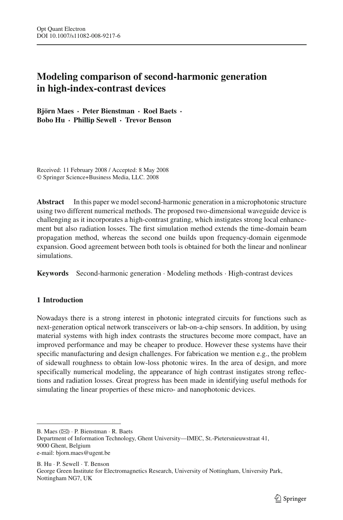# **Modeling comparison of second-harmonic generation in high-index-contrast devices**

**Björn Maes · Peter Bienstman · Roel Baets · Bobo Hu · Phillip Sewell · Trevor Benson**

Received: 11 February 2008 / Accepted: 8 May 2008 © Springer Science+Business Media, LLC. 2008

**Abstract** In this paper we model second-harmonic generation in a microphotonic structure using two different numerical methods. The proposed two-dimensional waveguide device is challenging as it incorporates a high-contrast grating, which instigates strong local enhancement but also radiation losses. The first simulation method extends the time-domain beam propagation method, whereas the second one builds upon frequency-domain eigenmode expansion. Good agreement between both tools is obtained for both the linear and nonlinear simulations.

**Keywords** Second-harmonic generation · Modeling methods · High-contrast devices

# **1 Introduction**

Nowadays there is a strong interest in photonic integrated circuits for functions such as next-generation optical network transceivers or lab-on-a-chip sensors. In addition, by using material systems with high index contrasts the structures become more compact, have an improved performance and may be cheaper to produce. However these systems have their specific manufacturing and design challenges. For fabrication we mention e.g., the problem of sidewall roughness to obtain low-loss photonic wires. In the area of design, and more specifically numerical modeling, the appearance of high contrast instigates strong reflections and radiation losses. Great progress has been made in identifying useful methods for simulating the linear properties of these micro- and nanophotonic devices.

B. Hu · P. Sewell · T. Benson George Green Institute for Electromagnetics Research, University of Nottingham, University Park, Nottingham NG7, UK

B. Maes (B) · P. Bienstman · R. Baets Department of Information Technology, Ghent University—IMEC, St.-Pietersnieuwstraat 41, 9000 Ghent, Belgium e-mail: bjorn.maes@ugent.be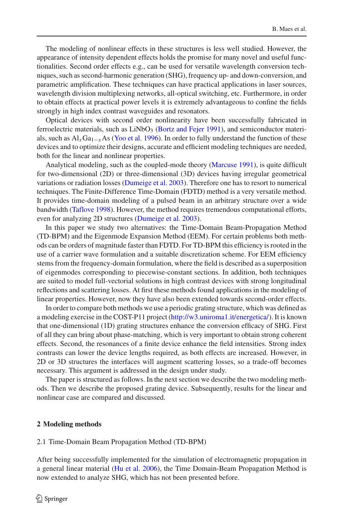The modeling of nonlinear effects in these structures is less well studied. However, the appearance of intensity dependent effects holds the promise for many novel and useful functionalities. Second order effects e.g., can be used for versatile wavelength conversion techniques, such as second-harmonic generation (SHG), frequency up- and down-conversion, and parametric amplification. These techniques can have practical applications in laser sources, wavelength division multiplexing networks, all-optical switching, etc. Furthermore, in order to obtain effects at practical power levels it is extremely advantageous to confine the fields strongly in high index contrast waveguides and resonators.

Optical devices with second order nonlinearity have been successfully fabricated in ferroelectric materials, such as  $LiNbO<sub>3</sub>$  [\(Bortz and Fejer 1991](#page-9-0)), and semiconductor materials, such as  $Al_xGa_{1-x}As$  [\(Yoo et al. 1996](#page-9-1)). In order to fully understand the function of these devices and to optimize their designs, accurate and efficient modeling techniques are needed, both for the linear and nonlinear properties.

Analytical modeling, such as the coupled-mode theory [\(Marcuse 1991](#page-9-2)), is quite difficult for two-dimensional (2D) or three-dimensional (3D) devices having irregular geometrical variations or radiation losses [\(Dumeige et al. 2003\)](#page-9-3). Therefore one has to resort to numerical techniques. The Finite-Difference Time-Domain (FDTD) method is a very versatile method. It provides time-domain modeling of a pulsed beam in an arbitrary structure over a wide bandwidth [\(Taflove 1998\)](#page-9-4). However, the method requires tremendous computational efforts, even for analyzing 2D structures [\(Dumeige et al. 2003\)](#page-9-3).

In this paper we study two alternatives: the Time-Domain Beam-Propagation Method (TD-BPM) and the Eigenmode Expansion Method (EEM). For certain problems both methods can be orders of magnitude faster than FDTD. For TD-BPM this efficiency is rooted in the use of a carrier wave formulation and a suitable discretization scheme. For EEM efficiency stems from the frequency-domain formulation, where the field is described as a superposition of eigenmodes corresponding to piecewise-constant sections. In addition, both techniques are suited to model full-vectorial solutions in high contrast devices with strong longitudinal reflections and scattering losses. At first these methods found applications in the modeling of linear properties. However, now they have also been extended towards second-order effects.

In order to compare both methods we use a periodic grating structure, which was defined as a modeling exercise in the COST-P11 project [\(http://w3.uniroma1.it/energetica/\)](http://w3.uniroma1.it/energetica/). It is known that one-dimensional (1D) grating structures enhance the conversion efficacy of SHG. First of all they can bring about phase-matching, which is very important to obtain strong coherent effects. Second, the resonances of a finite device enhance the field intensities. Strong index contrasts can lower the device lengths required, as both effects are increased. However, in 2D or 3D structures the interfaces will augment scattering losses, so a trade-off becomes necessary. This argument is addressed in the design under study.

The paper is structured as follows. In the next section we describe the two modeling methods. Then we describe the proposed grating device. Subsequently, results for the linear and nonlinear case are compared and discussed.

## **2 Modeling methods**

#### 2.1 Time-Domain Beam Propagation Method (TD-BPM)

After being successfully implemented for the simulation of electromagnetic propagation in a general linear material [\(Hu et al. 2006\)](#page-9-5), the Time Domain-Beam Propagation Method is now extended to analyze SHG, which has not been presented before.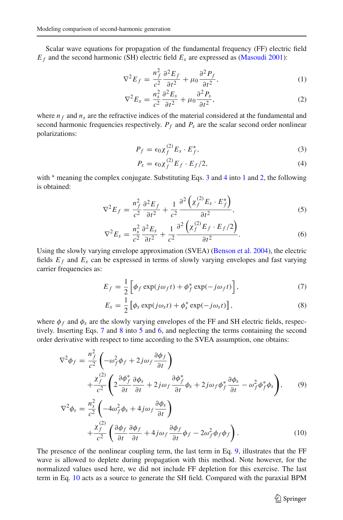<span id="page-2-1"></span>Scalar wave equations for propagation of the fundamental frequency (FF) electric field  $E_f$  and the second harmonic (SH) electric field  $E_s$  are expressed as [\(Masoudi 2001](#page-9-6)):

$$
\nabla^2 E_f = \frac{n_f^2}{c^2} \frac{\partial^2 E_f}{\partial t^2} + \mu_0 \frac{\partial^2 P_f}{\partial t^2},\tag{1}
$$

$$
\nabla^2 E_s = \frac{n_s^2}{c^2} \frac{\partial^2 E_s}{\partial t^2} + \mu_0 \frac{\partial^2 P_s}{\partial t^2},\tag{2}
$$

where  $n_f$  and  $n_s$  are the refractive indices of the material considered at the fundamental and second harmonic frequencies respectively.  $P_f$  and  $P_s$  are the scalar second order nonlinear polarizations:

$$
P_f = \epsilon_0 \chi_f^{(2)} E_s \cdot E_f^*,\tag{3}
$$

$$
P_s = \epsilon_0 \chi_f^{(2)} E_f \cdot E_f / 2, \qquad (4)
$$

<span id="page-2-3"></span><span id="page-2-0"></span>with <sup>∗</sup> meaning the complex conjugate. Substituting Eqs. [3](#page-2-0) and [4](#page-2-0) into [1](#page-2-1) and [2,](#page-2-1) the following is obtained:

$$
\nabla^2 E_f = \frac{n_f^2}{c^2} \frac{\partial^2 E_f}{\partial t^2} + \frac{1}{c^2} \frac{\partial^2 \left( \chi_f^{(2)} E_s \cdot E_f^* \right)}{\partial t^2},\tag{5}
$$

$$
\nabla^2 E_s = \frac{n_s^2}{c^2} \frac{\partial^2 E_s}{\partial t^2} + \frac{1}{c^2} \frac{\partial^2 \left( \chi_f^{(2)} E_f \cdot E_f / 2 \right)}{\partial t^2}.
$$
 (6)

<span id="page-2-2"></span>Using the slowly varying envelope approximation (SVEA) [\(Benson et al. 2004\)](#page-9-7), the electric fields  $E_f$  and  $E_s$  can be expressed in terms of slowly varying envelopes and fast varying carrier frequencies as:

$$
E_f = \frac{1}{2} \left[ \phi_f \exp(j\omega_f t) + \phi_f^* \exp(-j\omega_f t) \right],\tag{7}
$$

$$
E_s = \frac{1}{2} \left[ \phi_s \exp(j\omega_s t) + \phi_s^* \exp(-j\omega_s t) \right],
$$
 (8)

<span id="page-2-4"></span>where  $\phi_f$  and  $\phi_s$  are the slowly varying envelopes of the FF and SH electric fields, respectively. Inserting Eqs. [7](#page-2-2) and [8](#page-2-2) into [5](#page-2-3) and [6,](#page-2-3) and neglecting the terms containing the second order derivative with respect to time according to the SVEA assumption, one obtains:

$$
\nabla^2 \phi_f = \frac{n_f^2}{c^2} \left( -\omega_f^2 \phi_f + 2j\omega_f \frac{\partial \phi_f}{\partial t} \right) \n+ \frac{\chi_f^{(2)}}{c^2} \left( 2 \frac{\partial \phi_f^*}{\partial t} \frac{\partial \phi_s}{\partial t} + 2j\omega_f \frac{\partial \phi_f^*}{\partial t} \phi_s + 2j\omega_f \phi_f^* \frac{\partial \phi_s}{\partial t} - \omega_f^2 \phi_f^* \phi_s \right),
$$
\n(9)\n
$$
\nabla^2 \phi_s = \frac{n_s^2}{c^2} \left( -4\omega_f^2 \phi_s + 4j\omega_f \frac{\partial \phi_s}{\partial t} \right)
$$

$$
+\frac{\chi_f^{(2)}}{c^2} \left( \frac{\partial \phi_f}{\partial t} \frac{\partial \phi_f}{\partial t} + 4j\omega_f \frac{\partial \phi_f}{\partial t} \phi_f - 2\omega_f^2 \phi_f \phi_f \right). \tag{10}
$$

The presence of the nonlinear coupling term, the last term in Eq. [9,](#page-2-4) illustrates that the FF wave is allowed to deplete during propagation with this method. Note however, for the normalized values used here, we did not include FF depletion for this exercise. The last term in Eq. [10](#page-2-4) acts as a source to generate the SH field. Compared with the paraxial BPM

 $\circled{2}$  Springer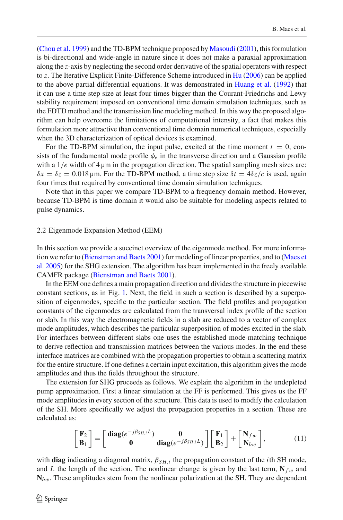[\(Chou et al. 1999](#page-9-8)) and the TD-BPM technique proposed by [Masoudi](#page-9-6) [\(2001\)](#page-9-6), this formulation is bi-directional and wide-angle in nature since it does not make a paraxial approximation along the *z*-axis by neglecting the second order derivative of the spatial operators with respect to *z*. The Iterative Explicit Finite-Difference Scheme introduced in [Hu](#page-9-9) [\(2006](#page-9-9)) can be applied to the above partial differential equations. It was demonstrated in [Huang et al.](#page-9-10) [\(1992\)](#page-9-10) that it can use a time step size at least four times bigger than the Courant-Friedrichs and Lewy stability requirement imposed on conventional time domain simulation techniques, such as the FDTD method and the transmission line modeling method. In this way the proposed algorithm can help overcome the limitations of computational intensity, a fact that makes this formulation more attractive than conventional time domain numerical techniques, especially when the 3D characterization of optical devices is examined.

For the TD-BPM simulation, the input pulse, excited at the time moment  $t = 0$ , consists of the fundamental mode profile  $\phi_e$  in the transverse direction and a Gaussian profile with a  $1/e$  width of  $4 \mu m$  in the propagation direction. The spatial sampling mesh sizes are:  $\delta x = \delta z = 0.018$  µm. For the TD-BPM method, a time step size  $\delta t = 4\delta z/c$  is used, again four times that required by conventional time domain simulation techniques.

Note that in this paper we compare TD-BPM to a frequency domain method. However, because TD-BPM is time domain it would also be suitable for modeling aspects related to pulse dynamics.

#### 2.2 Eigenmode Expansion Method (EEM)

In this section we provide a succinct overview of the eigenmode method. For more informati[on](#page-9-12) [we](#page-9-12) [refer](#page-9-12) [to](#page-9-12) [\(Bienstman and Baets 2001](#page-9-11)[\)](#page-9-12) [for](#page-9-12) [modeling](#page-9-12) [of](#page-9-12) [linear](#page-9-12) [properties,](#page-9-12) [and](#page-9-12) to [\(](#page-9-12)Maes et al. [2005](#page-9-12)) for the SHG extension. The algorithm has been implemented in the freely available CAMFR package [\(Bienstman and Baets 2001](#page-9-11)).

In the EEM one defines a main propagation direction and divides the structure in piecewise constant sections, as in Fig. [1.](#page-4-0) Next, the field in such a section is described by a superposition of eigenmodes, specific to the particular section. The field profiles and propagation constants of the eigenmodes are calculated from the transversal index profile of the section or slab. In this way the electromagnetic fields in a slab are reduced to a vector of complex mode amplitudes, which describes the particular superposition of modes excited in the slab. For interfaces between different slabs one uses the established mode-matching technique to derive reflection and transmission matrices between the various modes. In the end these interface matrices are combined with the propagation properties to obtain a scattering matrix for the entire structure. If one defines a certain input excitation, this algorithm gives the mode amplitudes and thus the fields throughout the structure.

The extension for SHG proceeds as follows. We explain the algorithm in the undepleted pump approximation. First a linear simulation at the FF is performed. This gives us the FF mode amplitudes in every section of the structure. This data is used to modify the calculation of the SH. More specifically we adjust the propagation properties in a section. These are calculated as:

$$
\begin{bmatrix} \mathbf{F}_2 \\ \mathbf{B}_1 \end{bmatrix} = \begin{bmatrix} \mathbf{diag}(e^{-j\beta_{SH,i}L}) & \mathbf{0} \\ \mathbf{0} & \mathbf{diag}(e^{-j\beta_{SH,i}L}) \end{bmatrix} \begin{bmatrix} \mathbf{F}_1 \\ \mathbf{B}_2 \end{bmatrix} + \begin{bmatrix} \mathbf{N}_{fw} \\ \mathbf{N}_{bw} \end{bmatrix},
$$
(11)

with **diag** indicating a diagonal matrix, β*SH*,*<sup>i</sup>* the propagation constant of the *i*th SH mode, and *L* the length of the section. The nonlinear change is given by the last term,  $N_{fw}$  and **N***b*w. These amplitudes stem from the nonlinear polarization at the SH. They are dependent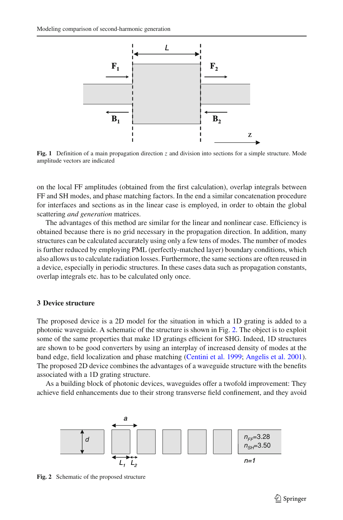

<span id="page-4-0"></span>**Fig. 1** Definition of a main propagation direction *z* and division into sections for a simple structure. Mode amplitude vectors are indicated

on the local FF amplitudes (obtained from the first calculation), overlap integrals between FF and SH modes, and phase matching factors. In the end a similar concatenation procedure for interfaces and sections as in the linear case is employed, in order to obtain the global scattering *and generation* matrices.

The advantages of this method are similar for the linear and nonlinear case. Efficiency is obtained because there is no grid necessary in the propagation direction. In addition, many structures can be calculated accurately using only a few tens of modes. The number of modes is further reduced by employing PML (perfectly-matched layer) boundary conditions, which also allows us to calculate radiation losses. Furthermore, the same sections are often reused in a device, especially in periodic structures. In these cases data such as propagation constants, overlap integrals etc. has to be calculated only once.

# **3 Device structure**

The proposed device is a 2D model for the situation in which a 1D grating is added to a photonic waveguide. A schematic of the structure is shown in Fig. [2.](#page-4-1) The object is to exploit some of the same properties that make 1D gratings efficient for SHG. Indeed, 1D structures are shown to be good converters by using an interplay of increased density of modes at the band edge, field localization and phase matching [\(Centini et al. 1999;](#page-9-13) [Angelis et al. 2001\)](#page-9-14). The proposed 2D device combines the advantages of a waveguide structure with the benefits associated with a 1D grating structure.

As a building block of photonic devices, waveguides offer a twofold improvement: They achieve field enhancements due to their strong transverse field confinement, and they avoid



<span id="page-4-1"></span>**Fig. 2** Schematic of the proposed structure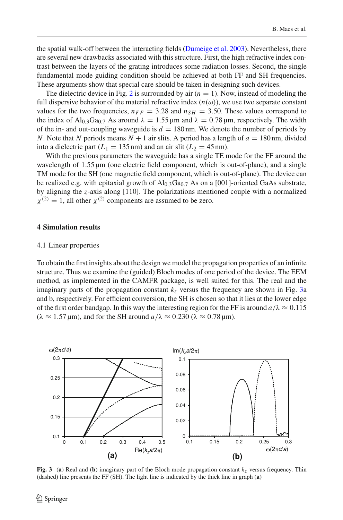the spatial walk-off between the interacting fields [\(Dumeige et al. 2003](#page-9-3)). Nevertheless, there are several new drawbacks associated with this structure. First, the high refractive index contrast between the layers of the grating introduces some radiation losses. Second, the single fundamental mode guiding condition should be achieved at both FF and SH frequencies. These arguments show that special care should be taken in designing such devices.

The dielectric device in Fig. [2](#page-4-1) is surrounded by air  $(n = 1)$ . Now, instead of modeling the full dispersive behavior of the material refractive index  $(n(\omega))$ , we use two separate constant values for the two frequencies,  $n_{FF} = 3.28$  and  $n_{SH} = 3.50$ . These values correspond to the index of Al<sub>0.3</sub>Ga<sub>0.7</sub> As around  $\lambda = 1.55 \,\text{\mu m}$  and  $\lambda = 0.78 \,\text{\mu m}$ , respectively. The width of the in- and out-coupling waveguide is  $d = 180$  nm. We denote the number of periods by *N*. Note that *N* periods means  $N + 1$  air slits. A period has a length of  $a = 180$  nm, divided into a dielectric part  $(L_1 = 135 \text{ nm})$  and an air slit  $(L_2 = 45 \text{ nm})$ .

With the previous parameters the waveguide has a single TE mode for the FF around the wavelength of  $1.55 \mu m$  (one electric field component, which is out-of-plane), and a single TM mode for the SH (one magnetic field component, which is out-of-plane). The device can be realized e.g. with epitaxial growth of  $Al_{0,3}Ga_{0,7}$  As on a [001]-oriented GaAs substrate, by aligning the *z*-axis along [110]. The polarizations mentioned couple with a normalized  $\chi^{(2)} = 1$ , all other  $\chi^{(2)}$  components are assumed to be zero.

## **4 Simulation results**

#### 4.1 Linear properties

To obtain the first insights about the design we model the propagation properties of an infinite structure. Thus we examine the (guided) Bloch modes of one period of the device. The EEM method, as implemented in the CAMFR package, is well suited for this. The real and the imaginary parts of the propagation constant  $k<sub>z</sub>$  versus the frequency are shown in Fig. [3a](#page-5-0) and b, respectively. For efficient conversion, the SH is chosen so that it lies at the lower edge of the first order bandgap. In this way the interesting region for the FF is around  $a/\lambda \approx 0.115$  $(\lambda \approx 1.57 \,\mu\text{m})$ , and for the SH around  $a/\lambda \approx 0.230 \, (\lambda \approx 0.78 \,\mu\text{m})$ .



<span id="page-5-0"></span>**Fig. 3** (**a**) Real and (**b**) imaginary part of the Bloch mode propagation constant *kz* versus frequency. Thin (dashed) line presents the FF (SH). The light line is indicated by the thick line in graph (**a**)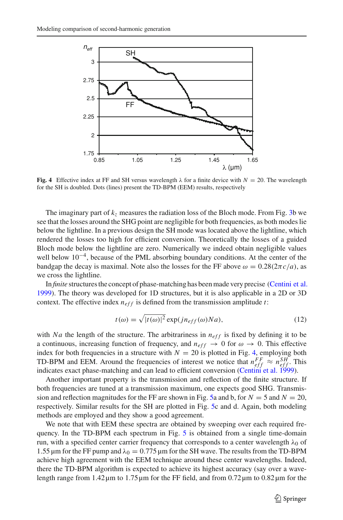

<span id="page-6-0"></span>**Fig. 4** Effective index at FF and SH versus wavelength  $\lambda$  for a finite device with  $N = 20$ . The wavelength for the SH is doubled. Dots (lines) present the TD-BPM (EEM) results, respectively

The imaginary part of  $k_z$  measures the radiation loss of the Bloch mode. From Fig. [3b](#page-5-0) we see that the losses around the SHG point are negligible for both frequencies, as both modes lie below the lightline. In a previous design the SH mode was located above the lightline, which rendered the losses too high for efficient conversion. Theoretically the losses of a guided Bloch mode below the lightline are zero. Numerically we indeed obtain negligible values well below  $10^{-4}$ , because of the PML absorbing boundary conditions. At the center of the bandgap the decay is maximal. Note also the losses for the FF above  $\omega = 0.28(2\pi c/a)$ , as we cross the lightline.

In *finite* structures the concept of phase-matching has been made very precise [\(Centini et al.](#page-9-13) [1999](#page-9-13)). The theory was developed for 1D structures, but it is also applicable in a 2D or 3D context. The effective index  $n_{eff}$  is defined from the transmission amplitude  $t$ :

$$
t(\omega) = \sqrt{|t(\omega)|^2} \exp(jn_{eff}(\omega)Na), \qquad (12)
$$

with *Na* the length of the structure. The arbitrariness in  $n_{eff}$  is fixed by defining it to be a continuous, increasing function of frequency, and  $n_{eff} \rightarrow 0$  for  $\omega \rightarrow 0$ . This effective index for both frequencies in a structure with  $N = 20$  is plotted in Fig. [4,](#page-6-0) employing both TD-BPM and EEM. Around the frequencies of interest we notice that  $n_{eff}^{FF} \approx n_{eff}^{SH}$ . This indicates exact phase-matching and can lead to efficient conversion [\(Centini et al. 1999](#page-9-13)).

Another important property is the transmission and reflection of the finite structure. If both frequencies are tuned at a transmission maximum, one expects good SHG. Transmis-sion and reflection magnitudes for the FF are shown in Fig. [5a](#page-7-0) and b, for  $N = 5$  and  $N = 20$ , respectively. Similar results for the SH are plotted in Fig. [5c](#page-7-0) and d. Again, both modeling methods are employed and they show a good agreement.

We note that with EEM these spectra are obtained by sweeping over each required fre-quency. In the TD-BPM each spectrum in Fig. [5](#page-7-0) is obtained from a single time-domain run, with a specified center carrier frequency that corresponds to a center wavelength  $\lambda_0$  of 1.55  $\mu$ m for the FF pump and  $\lambda_0 = 0.775 \mu$ m for the SH wave. The results from the TD-BPM achieve high agreement with the EEM technique around these center wavelengths. Indeed, there the TD-BPM algorithm is expected to achieve its highest accuracy (say over a wavelength range from 1.42 µm to 1.75 µm for the FF field, and from 0.72 µm to 0.82 µm for the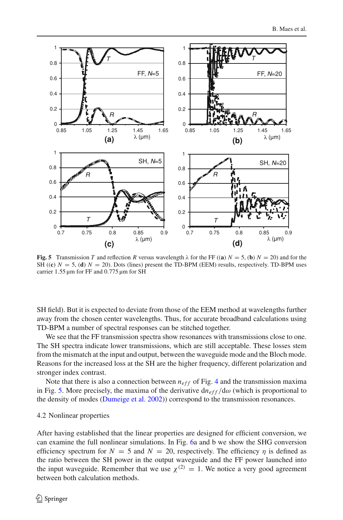

<span id="page-7-0"></span>**Fig. 5** Transmission *T* and reflection *R* versus wavelength  $\lambda$  for the FF ((a)  $N = 5$ , (b)  $N = 20$ ) and for the SH ((c)  $N = 5$ , (d)  $N = 20$ ). Dots (lines) present the TD-BPM (EEM) results, respectively. TD-BPM uses carrier 1.55 µm for FF and 0.775 µm for SH

SH field). But it is expected to deviate from those of the EEM method at wavelengths further away from the chosen center wavelengths. Thus, for accurate broadband calculations using TD-BPM a number of spectral responses can be stitched together.

We see that the FF transmission spectra show resonances with transmissions close to one. The SH spectra indicate lower transmissions, which are still acceptable. These losses stem from the mismatch at the input and output, between the waveguide mode and the Bloch mode. Reasons for the increased loss at the SH are the higher frequency, different polarization and stronger index contrast.

Note that there is also a connection between  $n_{eff}$  of Fig. [4](#page-6-0) and the transmission maxima in Fig. [5.](#page-7-0) More precisely, the maxima of the derivative  $dn_{eff}/d\omega$  (which is proportional to the density of modes [\(Dumeige et al. 2002](#page-9-15))) correspond to the transmission resonances.

# 4.2 Nonlinear properties

After having established that the linear properties are designed for efficient conversion, we can examine the full nonlinear simulations. In Fig. [6a](#page-8-0) and b we show the SHG conversion efficiency spectrum for  $N = 5$  and  $N = 20$ , respectively. The efficiency  $\eta$  is defined as the ratio between the SH power in the output waveguide and the FF power launched into the input waveguide. Remember that we use  $\chi^{(2)} = 1$ . We notice a very good agreement between both calculation methods.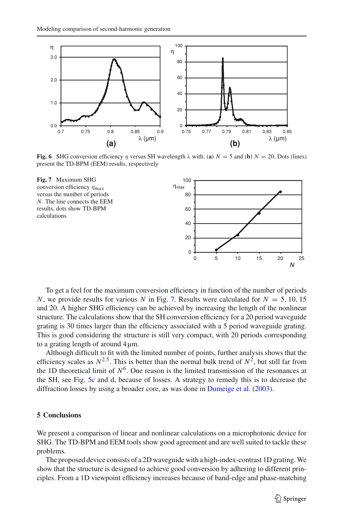

**Fig. 6** SHG conversion efficiency  $\eta$  versus SH wavelength  $\lambda$  with: (**a**)  $N = 5$  and (**b**)  $N = 20$ . Dots (lines) present the TD-BPM (EEM) results, respectively

<span id="page-8-1"></span><span id="page-8-0"></span>



To get a feel for the maximum conversion efficiency in function of the number of periods *N*, we provide results for various *N* in Fig. [7.](#page-8-1) Results were calculated for  $N = 5, 10, 15$ and 20. A higher SHG efficiency can be achieved by increasing the length of the nonlinear structure. The calculations show that the SH conversion efficiency for a 20 period waveguide grating is 30 times larger than the efficiency associated with a 5 period waveguide grating. This is good considering the structure is still very compact, with 20 periods corresponding to a grating length of around  $4 \mu m$ .

Although difficult to fit with the limited number of points, further analysis shows that the efficiency scales as  $N^{2.5}$ . This is better than the normal bulk trend of  $N^2$ , but still far from the 1D theoretical limit of  $N^6$ . One reason is the limited transmission of the resonances at the SH, see Fig. [5c](#page-7-0) and d, because of losses. A strategy to remedy this is to decrease the diffraction losses by using a broader core, as was done in [Dumeige et al.](#page-9-3) [\(2003\)](#page-9-3).

# **5 Conclusions**

We present a comparison of linear and nonlinear calculations on a microphotonic device for SHG. The TD-BPM and EEM tools show good agreement and are well suited to tackle these problems.

The proposed device consists of a 2D waveguide with a high-index-contrast 1D grating. We show that the structure is designed to achieve good conversion by adhering to different principles. From a 1D viewpoint efficiency increases because of band-edge and phase-matching